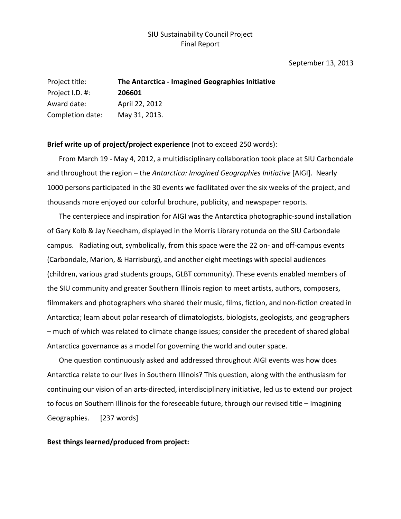## SIU Sustainability Council Project Final Report

#### September 13, 2013

| Project title:   | The Antarctica - Imagined Geographies Initiative |
|------------------|--------------------------------------------------|
| Project I.D. #:  | 206601                                           |
| Award date:      | April 22, 2012                                   |
| Completion date: | May 31, 2013.                                    |

**Brief write up of project/project experience** (not to exceed 250 words):

From March 19 - May 4, 2012, a multidisciplinary collaboration took place at SIU Carbondale and throughout the region – the *Antarctica: Imagined Geographies Initiative* [AIGI]. Nearly 1000 persons participated in the 30 events we facilitated over the six weeks of the project, and thousands more enjoyed our colorful brochure, publicity, and newspaper reports.

The centerpiece and inspiration for AIGI was the Antarctica photographic-sound installation of Gary Kolb & Jay Needham, displayed in the Morris Library rotunda on the SIU Carbondale campus. Radiating out, symbolically, from this space were the 22 on- and off-campus events (Carbondale, Marion, & Harrisburg), and another eight meetings with special audiences (children, various grad students groups, GLBT community). These events enabled members of the SIU community and greater Southern Illinois region to meet artists, authors, composers, filmmakers and photographers who shared their music, films, fiction, and non-fiction created in Antarctica; learn about polar research of climatologists, biologists, geologists, and geographers – much of which was related to climate change issues; consider the precedent of shared global Antarctica governance as a model for governing the world and outer space.

One question continuously asked and addressed throughout AIGI events was how does Antarctica relate to our lives in Southern Illinois? This question, along with the enthusiasm for continuing our vision of an arts-directed, interdisciplinary initiative, led us to extend our project to focus on Southern Illinois for the foreseeable future, through our revised title – Imagining Geographies. [237 words]

#### **Best things learned/produced from project:**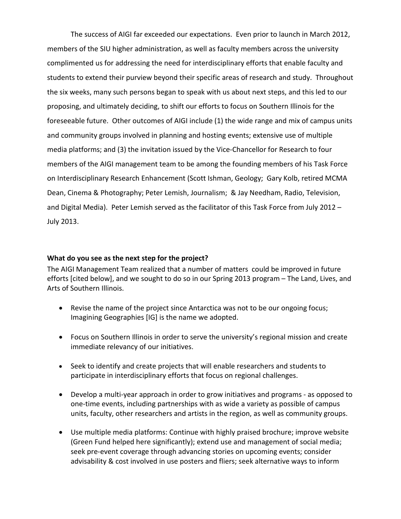The success of AIGI far exceeded our expectations. Even prior to launch in March 2012, members of the SIU higher administration, as well as faculty members across the university complimented us for addressing the need for interdisciplinary efforts that enable faculty and students to extend their purview beyond their specific areas of research and study. Throughout the six weeks, many such persons began to speak with us about next steps, and this led to our proposing, and ultimately deciding, to shift our efforts to focus on Southern Illinois for the foreseeable future. Other outcomes of AIGI include (1) the wide range and mix of campus units and community groups involved in planning and hosting events; extensive use of multiple media platforms; and (3) the invitation issued by the Vice-Chancellor for Research to four members of the AIGI management team to be among the founding members of his Task Force on Interdisciplinary Research Enhancement (Scott Ishman, Geology; Gary Kolb, retired MCMA Dean, Cinema & Photography; Peter Lemish, Journalism; & Jay Needham, Radio, Television, and Digital Media). Peter Lemish served as the facilitator of this Task Force from July 2012 – July 2013.

### **What do you see as the next step for the project?**

The AIGI Management Team realized that a number of matters could be improved in future efforts [cited below], and we sought to do so in our Spring 2013 program – The Land, Lives, and Arts of Southern Illinois.

- Revise the name of the project since Antarctica was not to be our ongoing focus; Imagining Geographies [IG] is the name we adopted.
- Focus on Southern Illinois in order to serve the university's regional mission and create immediate relevancy of our initiatives.
- Seek to identify and create projects that will enable researchers and students to participate in interdisciplinary efforts that focus on regional challenges.
- Develop a multi-year approach in order to grow initiatives and programs as opposed to one-time events, including partnerships with as wide a variety as possible of campus units, faculty, other researchers and artists in the region, as well as community groups.
- Use multiple media platforms: Continue with highly praised brochure; improve website (Green Fund helped here significantly); extend use and management of social media; seek pre-event coverage through advancing stories on upcoming events; consider advisability & cost involved in use posters and fliers; seek alternative ways to inform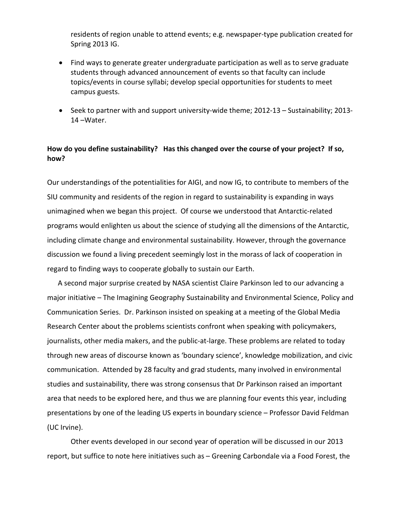residents of region unable to attend events; e.g. newspaper-type publication created for Spring 2013 IG.

- Find ways to generate greater undergraduate participation as well as to serve graduate students through advanced announcement of events so that faculty can include topics/events in course syllabi; develop special opportunities for students to meet campus guests.
- Seek to partner with and support university-wide theme; 2012-13 Sustainability; 2013- 14 –Water.

# **How do you define sustainability? Has this changed over the course of your project? If so, how?**

Our understandings of the potentialities for AIGI, and now IG, to contribute to members of the SIU community and residents of the region in regard to sustainability is expanding in ways unimagined when we began this project. Of course we understood that Antarctic-related programs would enlighten us about the science of studying all the dimensions of the Antarctic, including climate change and environmental sustainability. However, through the governance discussion we found a living precedent seemingly lost in the morass of lack of cooperation in regard to finding ways to cooperate globally to sustain our Earth.

 A second major surprise created by NASA scientist Claire Parkinson led to our advancing a major initiative – The Imagining Geography Sustainability and Environmental Science, Policy and Communication Series. Dr. Parkinson insisted on speaking at a meeting of the Global Media Research Center about the problems scientists confront when speaking with policymakers, journalists, other media makers, and the public-at-large. These problems are related to today through new areas of discourse known as 'boundary science', knowledge mobilization, and civic communication. Attended by 28 faculty and grad students, many involved in environmental studies and sustainability, there was strong consensus that Dr Parkinson raised an important area that needs to be explored here, and thus we are planning four events this year, including presentations by one of the leading US experts in boundary science – Professor David Feldman (UC Irvine).

Other events developed in our second year of operation will be discussed in our 2013 report, but suffice to note here initiatives such as – Greening Carbondale via a Food Forest, the